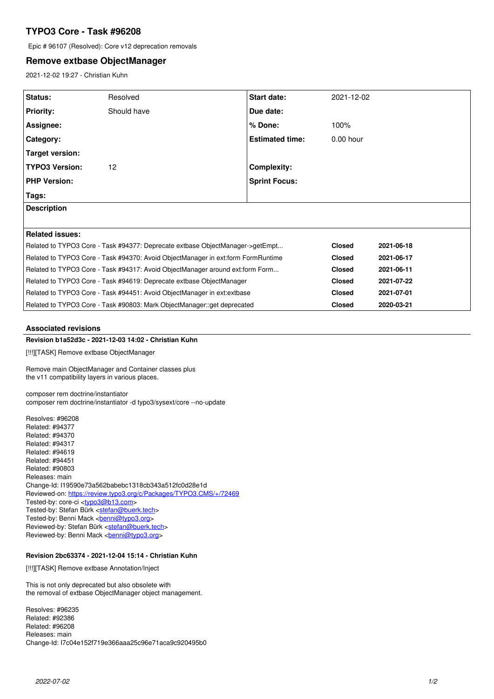# **TYPO3 Core - Task #96208**

Epic # 96107 (Resolved): Core v12 deprecation removals

# **Remove extbase ObjectManager**

2021-12-02 19:27 - Christian Kuhn

| Status:                                                                          | Resolved    | <b>Start date:</b>     | 2021-12-02    |            |
|----------------------------------------------------------------------------------|-------------|------------------------|---------------|------------|
| <b>Priority:</b>                                                                 | Should have | Due date:              |               |            |
| <b>Assignee:</b>                                                                 |             | % Done:                | 100%          |            |
| Category:                                                                        |             | <b>Estimated time:</b> | $0.00$ hour   |            |
| <b>Target version:</b>                                                           |             |                        |               |            |
| <b>TYPO3 Version:</b>                                                            | 12          | <b>Complexity:</b>     |               |            |
| <b>PHP Version:</b>                                                              |             | <b>Sprint Focus:</b>   |               |            |
| Tags:                                                                            |             |                        |               |            |
| <b>Description</b>                                                               |             |                        |               |            |
|                                                                                  |             |                        |               |            |
| <b>Related issues:</b>                                                           |             |                        |               |            |
| Related to TYPO3 Core - Task #94377: Deprecate extbase ObjectManager->getEmpt    |             |                        | <b>Closed</b> | 2021-06-18 |
| Related to TYPO3 Core - Task #94370: Avoid ObjectManager in ext:form FormRuntime |             |                        | <b>Closed</b> | 2021-06-17 |
| Related to TYPO3 Core - Task #94317: Avoid ObjectManager around ext:form Form    |             |                        | <b>Closed</b> | 2021-06-11 |
| Related to TYPO3 Core - Task #94619: Deprecate extbase ObjectManager             |             |                        | <b>Closed</b> | 2021-07-22 |
| Related to TYPO3 Core - Task #94451: Avoid ObjectManager in ext: extbase         |             |                        | <b>Closed</b> | 2021-07-01 |
| Related to TYPO3 Core - Task #90803: Mark ObjectManager::get deprecated          |             |                        | <b>Closed</b> | 2020-03-21 |

#### **Associated revisions**

# **Revision b1a52d3c - 2021-12-03 14:02 - Christian Kuhn**

[!!!][TASK] Remove extbase ObjectManager

Remove main ObjectManager and Container classes plus the v11 compatibility layers in various places.

composer rem doctrine/instantiator composer rem doctrine/instantiator -d typo3/sysext/core --no-update

Resolves: #96208 Related: #94377 Related: #94370 Related: #94317 Related: #94619 Related: #94451 Related: #90803 Releases: main Change-Id: I19590e73a562babebc1318cb343a512fc0d28e1d Reviewed-on:<https://review.typo3.org/c/Packages/TYPO3.CMS/+/72469> Tested-by: core-ci [<typo3@b13.com](mailto:typo3@b13.com)> Tested-by: Stefan Bürk <[stefan@buerk.tech](mailto:stefan@buerk.tech)> Tested-by: Benni Mack <br /> **[benni@typo3.org>](mailto:benni@typo3.org)** Reviewed-by: Stefan Bürk <[stefan@buerk.tech>](mailto:stefan@buerk.tech) Reviewed-by: Benni Mack <br/>
<u><br/>chenni@typo3.org</u>>

# **Revision 2bc63374 - 2021-12-04 15:14 - Christian Kuhn**

[!!!][TASK] Remove extbase Annotation/Inject

This is not only deprecated but also obsolete with the removal of extbase ObjectManager object management.

Resolves: #96235 Related: #92386 Related: #96208 Releases: main Change-Id: I7c04e152f719e366aaa25c96e71aca9c920495b0